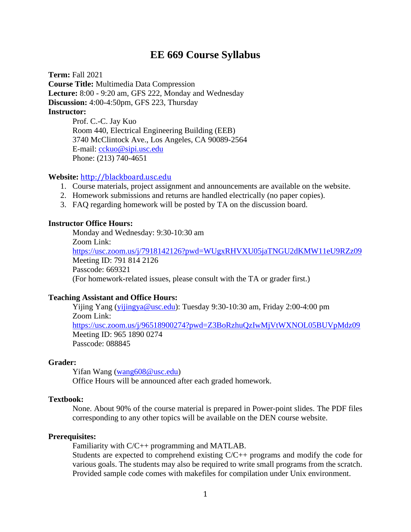## **EE 669 Course Syllabus**

**Term:** Fall 2021 **Course Title:** Multimedia Data Compression **Lecture:** 8:00 - 9:20 am, GFS 222, Monday and Wednesday **Discussion:** 4:00-4:50pm, GFS 223, Thursday **Instructor:** Prof. C.-C. Jay Kuo Room 440, Electrical Engineering Building (EEB)

3740 McClintock Ave., Los Angeles, CA 90089-2564 E-mail: [cckuo@sipi.usc.edu](mailto:cckuo@sipi.usc.edu) Phone: (213) 740-4651

#### **Website:** [http://blackboard.usc.edu](http://blackboard.usc.edu/)

- 1. Course materials, project assignment and announcements are available on the website.
- 2. Homework submissions and returns are handled electrically (no paper copies).
- 3. FAQ regarding homework will be posted by TA on the discussion board.

#### **Instructor Office Hours:**

Monday and Wednesday: 9:30-10:30 am Zoom Link: <https://usc.zoom.us/j/7918142126?pwd=WUgxRHVXU05jaTNGU2dKMW11eU9RZz09> Meeting ID: 791 814 2126 Passcode: 669321 (For homework-related issues, please consult with the TA or grader first.)

#### **Teaching Assistant and Office Hours:**

Yijing Yang [\(yijingya@usc.edu\)](mailto:yijingya@usc.edu): Tuesday 9:30-10:30 am, Friday 2:00-4:00 pm Zoom Link: <https://usc.zoom.us/j/96518900274?pwd=Z3BoRzhuQzIwMjVtWXNOL05BUVpMdz09> Meeting ID: 965 1890 0274 Passcode: 088845

#### **Grader:**

Yifan Wang [\(wang608@usc.edu\)](mailto:wang608@usc.edu) Office Hours will be announced after each graded homework.

#### **Textbook:**

None. About 90% of the course material is prepared in Power-point slides. The PDF files corresponding to any other topics will be available on the DEN course website.

#### **Prerequisites:**

Familiarity with C/C++ programming and MATLAB.

Students are expected to comprehend existing  $C/C++$  programs and modify the code for various goals. The students may also be required to write small programs from the scratch. Provided sample code comes with makefiles for compilation under Unix environment.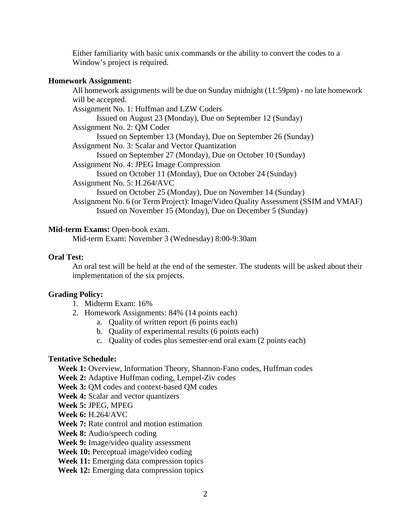Either familiarity with basic unix commands or the ability to convert the codes to a Window's project is required.

## **Homework Assignment:**

All homework assignments will be due on Sunday midnight (11:59pm) - no late homework will be accepted. Assignment No. 1: Huffman and LZW Coders Issued on August 23 (Monday), Due on September 12 (Sunday) Assignment No. 2: QM Coder Issued on September 13 (Monday), Due on September 26 (Sunday) Assignment No. 3: Scalar and Vector Quantization Issued on September 27 (Monday), Due on October 10 (Sunday) Assignment No. 4: JPEG Image Compression Issued on October 11 (Monday), Due on October 24 (Sunday) Assignment No. 5: H.264/AVC Issued on October 25 (Monday), Due on November 14 (Sunday) Assignment No. 6 (or Term Project): Image/Video Quality Assessment (SSIM and VMAF) Issued on November 15 (Monday), Due on December 5 (Sunday)

## **Mid-term Exams:** Open-book exam.

Mid-term Exam: November 3 (Wednesday) 8:00-9:30am

## **Oral Test:**

An oral test will be held at the end of the semester. The students will be asked about their implementation of the six projects.

#### **Grading Policy:**

- 1. Midterm Exam: 16%
- 2. Homework Assignments: 84% (14 points each)
	- a. Quality of written report (6 points each)
	- b. Quality of experimental results (6 points each)
	- c. Quality of codes plus semester-end oral exam (2 points each)

#### **Tentative Schedule:**

**Week 1:** Overview, Information Theory, Shannon-Fano codes, Huffman codes

**Week 2:** Adaptive Huffman coding, Lempel-Ziv codes

**Week 3:** QM codes and context-based QM codes

**Week 4:** Scalar and vector quantizers

**Week 5:** JPEG, MPEG

**Week 6:** H.264/AVC

**Week 7:** Rate control and motion estimation

**Week 8:** Audio/speech coding

**Week 9:** Image/video quality assessment

Week 10: Perceptual image/video coding

Week 11: Emerging data compression topics

**Week 12:** Emerging data compression topics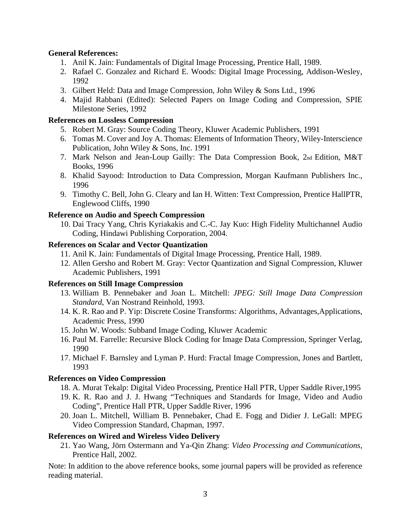## **General References:**

- 1. Anil K. Jain: Fundamentals of Digital Image Processing, Prentice Hall, 1989.
- 2. Rafael C. Gonzalez and Richard E. Woods: Digital Image Processing, Addison-Wesley, 1992
- 3. Gilbert Held: Data and Image Compression, John Wiley & Sons Ltd., 1996
- 4. Majid Rabbani (Edited): Selected Papers on Image Coding and Compression, SPIE Milestone Series, 1992

## **References on Lossless Compression**

- 5. Robert M. Gray: Source Coding Theory, Kluwer Academic Publishers, 1991
- 6. Tomas M. Cover and Joy A. Thomas: Elements of Information Theory, Wiley-Interscience Publication, John Wiley & Sons, Inc. 1991
- 7. Mark Nelson and Jean-Loup Gailly: The Data Compression Book, 2nd Edition, M&T Books, 1996
- 8. Khalid Sayood: Introduction to Data Compression, Morgan Kaufmann Publishers Inc., 1996
- 9. Timothy C. Bell, John G. Cleary and Ian H. Witten: Text Compression, Prentice HallPTR, Englewood Cliffs, 1990

## **Reference on Audio and Speech Compression**

10. Dai Tracy Yang, Chris Kyriakakis and C.-C. Jay Kuo: High Fidelity Multichannel Audio Coding, Hindawi Publishing Corporation, 2004.

#### **References on Scalar and Vector Quantization**

- 11. Anil K. Jain: Fundamentals of Digital Image Processing, Prentice Hall, 1989.
- 12. Allen Gersho and Robert M. Gray: Vector Quantization and Signal Compression, Kluwer Academic Publishers, 1991

#### **References on Still Image Compression**

- 13. William B. Pennebaker and Joan L. Mitchell: *JPEG: Still Image Data Compression Standard*, Van Nostrand Reinhold, 1993.
- 14. K. R. Rao and P. Yip: Discrete Cosine Transforms: Algorithms, Advantages,Applications, Academic Press, 1990
- 15. John W. Woods: Subband Image Coding, Kluwer Academic
- 16. Paul M. Farrelle: Recursive Block Coding for Image Data Compression, Springer Verlag, 1990
- 17. Michael F. Barnsley and Lyman P. Hurd: Fractal Image Compression, Jones and Bartlett, 1993

#### **References on Video Compression**

- 18. A. Murat Tekalp: Digital Video Processing, Prentice Hall PTR, Upper Saddle River,1995
- 19. K. R. Rao and J. J. Hwang "Techniques and Standards for Image, Video and Audio Coding", Prentice Hall PTR, Upper Saddle River, 1996
- 20. Joan L. Mitchell, William B. Pennebaker, Chad E. Fogg and Didier J. LeGall: MPEG Video Compression Standard, Chapman, 1997.

#### **References on Wired and Wireless Video Delivery**

21. Yao Wang, Jörn Ostermann and Ya-Qin Zhang: *Video Processing and Communications*, Prentice Hall, 2002.

Note: In addition to the above reference books, some journal papers will be provided as reference reading material.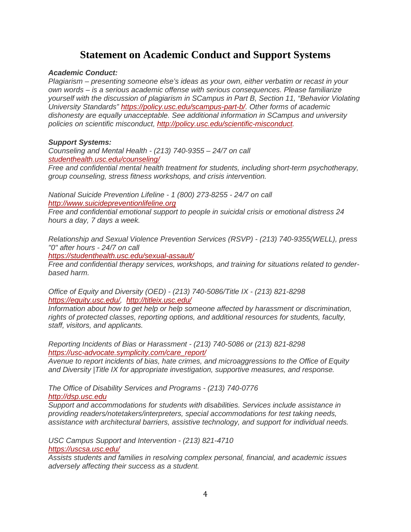# **Statement on Academic Conduct and Support Systems**

#### *Academic Conduct:*

*Plagiarism – presenting someone else's ideas as your own, either verbatim or recast in your own words – is a serious academic offense with serious consequences. Please familiarize yourself with the discussion of plagiarism in SCampus in Part B, Section 11, "Behavior Violating University Standards" [https://policy.usc.edu/scampus-part-b/.](https://policy.usc.edu/scampus-part-b/) Other forms of academic dishonesty are equally unacceptable. See additional information in SCampus and university policies on scientific misconduct, [http://policy.usc.edu/scientific-misconduct.](http://policy.usc.edu/scientific-misconduct)*

#### *Support Systems:*

*Counseling and Mental Health - (213) 740-9355 – 24/7 on call [studenthealth.usc.edu/counseling/](https://studenthealth.usc.edu/counseling/)*

*Free and confidential mental health treatment for students, including short-term psychotherapy, group counseling, stress fitness workshops, and crisis intervention.*

*National Suicide Prevention Lifeline - 1 (800) 273-8255 - 24/7 on call [http://www.suicidepreventionlifeline.org](http://www.suicidepreventionlifeline.org/)*

*Free and confidential emotional support to people in suicidal crisis or emotional distress 24 hours a day, 7 days a week.*

*Relationship and Sexual Violence Prevention Services (RSVP) - (213) 740-9355(WELL), press "0" after hours - 24/7 on call*

*<https://studenthealth.usc.edu/sexual-assault/>*

*Free and confidential therapy services, workshops, and training for situations related to genderbased harm.*

*Office of Equity and Diversity (OED) - (213) 740-5086/Title IX - (213) 821-8298 [https://equity.usc.edu/,](https://equity.usc.edu/) <http://titleix.usc.edu/>*

*Information about how to get help or help someone affected by harassment or discrimination, rights of protected classes, reporting options, and additional resources for students, faculty, staff, visitors, and applicants.*

*Reporting Incidents of Bias or Harassment - (213) 740-5086 or (213) 821-8298 [https://usc-advocate.symplicity.com/care\\_report/](https://usc-advocate.symplicity.com/care_report/)*

*Avenue to report incidents of bias, hate crimes, and microaggressions to the Office of Equity and Diversity |Title IX for appropriate investigation, supportive measures, and response.*

*The Office of Disability Services and Programs - (213) 740-0776 [http://dsp.usc.edu](http://dsp.usc.edu/)*

*Support and accommodations for students with disabilities. Services include assistance in providing readers/notetakers/interpreters, special accommodations for test taking needs, assistance with architectural barriers, assistive technology, and support for individual needs.*

*USC Campus Support and Intervention - (213) 821-4710 <https://uscsa.usc.edu/>*

*Assists students and families in resolving complex personal, financial, and academic issues adversely affecting their success as a student.*